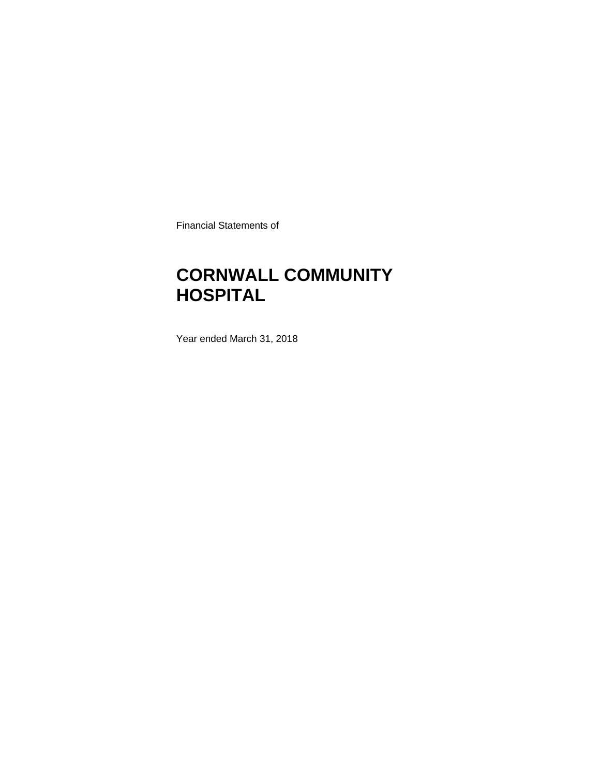Financial Statements of

### **CORNWALL COMMUNITY HOSPITAL**

Year ended March 31, 2018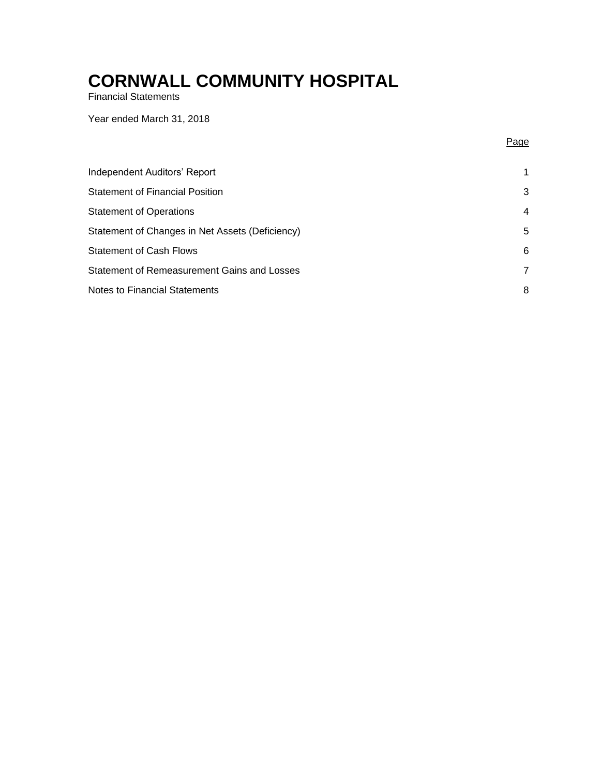Financial Statements

Year ended March 31, 2018

Page

| Independent Auditors' Report                    | 1              |
|-------------------------------------------------|----------------|
| <b>Statement of Financial Position</b>          | 3              |
| <b>Statement of Operations</b>                  | $\overline{4}$ |
| Statement of Changes in Net Assets (Deficiency) | 5              |
| <b>Statement of Cash Flows</b>                  | 6              |
| Statement of Remeasurement Gains and Losses     | 7              |
| <b>Notes to Financial Statements</b>            | 8              |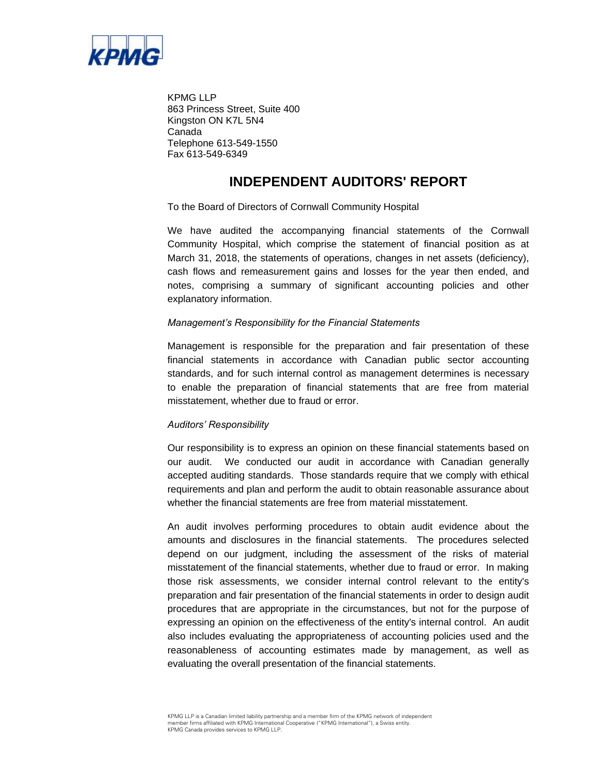

KPMG LLP 863 Princess Street, Suite 400 Kingston ON K7L 5N4 Canada Telephone 613-549-1550 Fax 613-549-6349

### **INDEPENDENT AUDITORS' REPORT**

To the Board of Directors of Cornwall Community Hospital

We have audited the accompanying financial statements of the Cornwall Community Hospital, which comprise the statement of financial position as at March 31, 2018, the statements of operations, changes in net assets (deficiency), cash flows and remeasurement gains and losses for the year then ended, and notes, comprising a summary of significant accounting policies and other explanatory information.

#### *Management's Responsibility for the Financial Statements*

Management is responsible for the preparation and fair presentation of these financial statements in accordance with Canadian public sector accounting standards, and for such internal control as management determines is necessary to enable the preparation of financial statements that are free from material misstatement, whether due to fraud or error.

#### *Auditors' Responsibility*

Our responsibility is to express an opinion on these financial statements based on our audit. We conducted our audit in accordance with Canadian generally accepted auditing standards. Those standards require that we comply with ethical requirements and plan and perform the audit to obtain reasonable assurance about whether the financial statements are free from material misstatement.

An audit involves performing procedures to obtain audit evidence about the amounts and disclosures in the financial statements. The procedures selected depend on our judgment, including the assessment of the risks of material misstatement of the financial statements, whether due to fraud or error. In making those risk assessments, we consider internal control relevant to the entity's preparation and fair presentation of the financial statements in order to design audit procedures that are appropriate in the circumstances, but not for the purpose of expressing an opinion on the effectiveness of the entity's internal control. An audit also includes evaluating the appropriateness of accounting policies used and the reasonableness of accounting estimates made by management, as well as evaluating the overall presentation of the financial statements.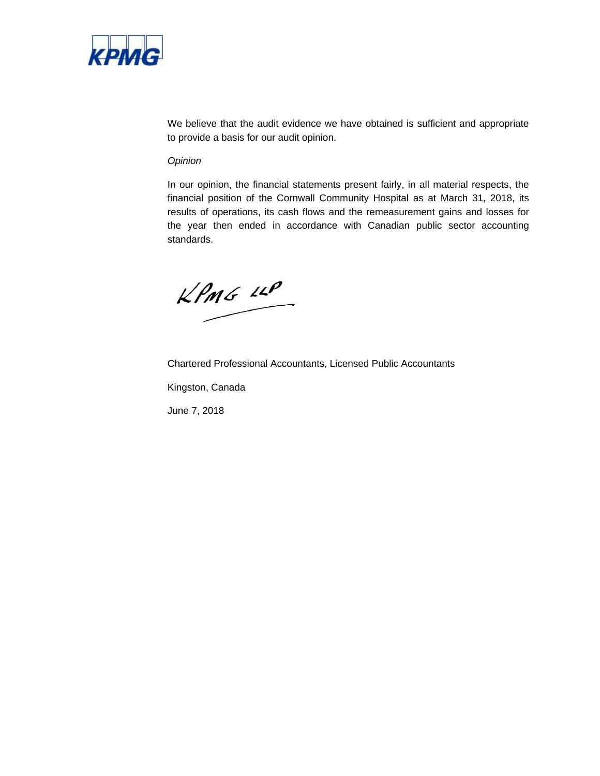

We believe that the audit evidence we have obtained is sufficient and appropriate to provide a basis for our audit opinion.

#### *Opinion*

In our opinion, the financial statements present fairly, in all material respects, the financial position of the Cornwall Community Hospital as at March 31, 2018, its results of operations, its cash flows and the remeasurement gains and losses for the year then ended in accordance with Canadian public sector accounting standards.

 $kPm6$   $10P$ 

Chartered Professional Accountants, Licensed Public Accountants Kingston, Canada

June 7, 2018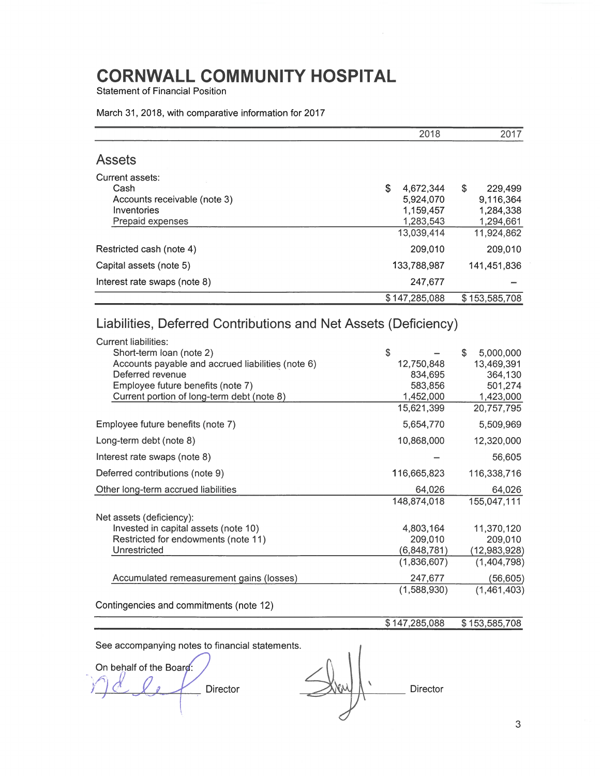**Statement of Financial Position** 

|                              | 2018            | 2017          |
|------------------------------|-----------------|---------------|
| <b>Assets</b>                |                 |               |
| Current assets:<br>Cash      | \$<br>4.672.344 | \$<br>229,499 |
| Accounts receivable (note 3) | 5.924,070       | 9,116,364     |
| Inventories                  | 1,159,457       | 1,284,338     |
| Prepaid expenses             | 1,283,543       | 1,294,661     |
|                              | 13,039,414      | 11,924,862    |
| Restricted cash (note 4)     | 209,010         | 209,010       |
| Capital assets (note 5)      | 133,788,987     | 141,451,836   |
| Interest rate swaps (note 8) | 247,677         |               |
|                              | \$147,285,088   | \$153,585,708 |

#### March 31, 2018, with comparative information for 2017

### Liabilities, Deferred Contributions and Net Assets (Deficiency)

| Current liabilities:                              |             |                  |
|---------------------------------------------------|-------------|------------------|
| Short-term loan (note 2)                          | \$          | \$.<br>5,000,000 |
| Accounts payable and accrued liabilities (note 6) | 12,750,848  | 13,469,391       |
| Deferred revenue                                  | 834,695     | 364.130          |
| Employee future benefits (note 7)                 | 583,856     | 501,274          |
| Current portion of long-term debt (note 8)        | 1,452,000   | 1,423,000        |
|                                                   | 15,621,399  | 20,757,795       |
| Employee future benefits (note 7)                 | 5,654,770   | 5,509,969        |
| Long-term debt (note 8)                           | 10,868,000  | 12,320,000       |
| Interest rate swaps (note 8)                      |             | 56,605           |
| Deferred contributions (note 9)                   | 116,665,823 | 116,338,716      |
| Other long-term accrued liabilities               | 64,026      | 64,026           |
|                                                   | 148,874,018 | 155,047,111      |
| Net assets (deficiency):                          |             |                  |
| Invested in capital assets (note 10)              | 4,803,164   | 11,370,120       |
| Restricted for endowments (note 11)               | 209,010     | 209,010          |
| Unrestricted                                      | (6,848,781) | (12,983,928)     |
|                                                   | (1,836,607) | (1,404,798)      |
| Accumulated remeasurement gains (losses)          | 247,677     | (56, 605)        |
|                                                   | (1,588,930) | (1,461,403)      |
|                                                   |             |                  |

Contingencies and commitments (note 12)

#### \$147,285,088  $$153,585,708$

On behalf of the Board: Director

Director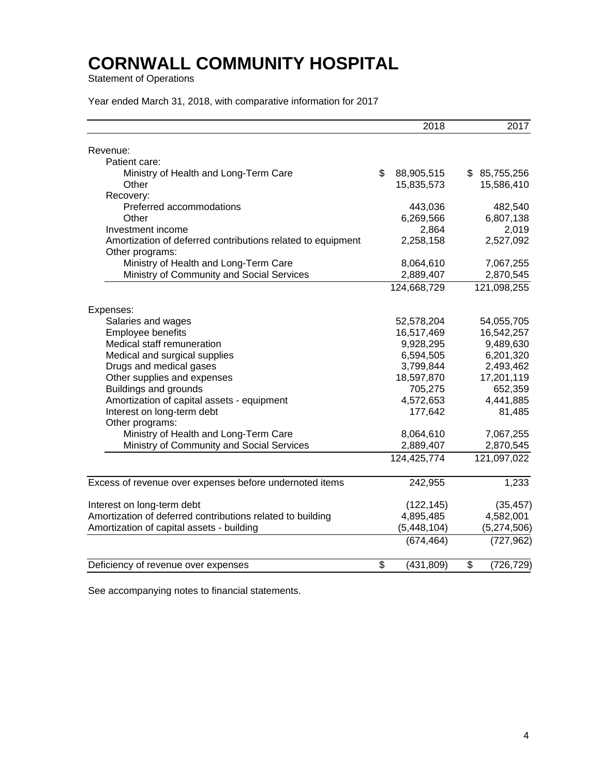Statement of Operations

Year ended March 31, 2018, with comparative information for 2017

|                                                             | 2018             | 2017             |
|-------------------------------------------------------------|------------------|------------------|
| Revenue:                                                    |                  |                  |
| Patient care:                                               |                  |                  |
| Ministry of Health and Long-Term Care                       | \$<br>88,905,515 | \$85,755,256     |
| Other                                                       | 15,835,573       | 15,586,410       |
| Recovery:                                                   |                  |                  |
| Preferred accommodations                                    | 443,036          | 482,540          |
| Other                                                       | 6,269,566        | 6,807,138        |
| Investment income                                           | 2,864            | 2,019            |
| Amortization of deferred contributions related to equipment | 2,258,158        | 2,527,092        |
| Other programs:                                             |                  |                  |
| Ministry of Health and Long-Term Care                       | 8,064,610        | 7,067,255        |
| Ministry of Community and Social Services                   | 2,889,407        | 2,870,545        |
|                                                             | 124,668,729      | 121,098,255      |
| Expenses:                                                   |                  |                  |
| Salaries and wages                                          | 52,578,204       | 54,055,705       |
| Employee benefits                                           | 16,517,469       | 16,542,257       |
| Medical staff remuneration                                  | 9,928,295        | 9,489,630        |
| Medical and surgical supplies                               | 6,594,505        | 6,201,320        |
| Drugs and medical gases                                     | 3,799,844        | 2,493,462        |
| Other supplies and expenses                                 | 18,597,870       | 17,201,119       |
| <b>Buildings and grounds</b>                                | 705,275          | 652,359          |
| Amortization of capital assets - equipment                  | 4,572,653        | 4,441,885        |
| Interest on long-term debt                                  | 177,642          | 81,485           |
| Other programs:                                             |                  |                  |
| Ministry of Health and Long-Term Care                       | 8,064,610        | 7,067,255        |
| Ministry of Community and Social Services                   | 2,889,407        | 2,870,545        |
|                                                             | 124,425,774      | 121,097,022      |
| Excess of revenue over expenses before undernoted items     | 242,955          | 1,233            |
|                                                             |                  |                  |
| Interest on long-term debt                                  | (122, 145)       | (35, 457)        |
| Amortization of deferred contributions related to building  | 4,895,485        | 4,582,001        |
| Amortization of capital assets - building                   | (5,448,104)      | (5,274,506)      |
|                                                             | (674, 464)       | (727, 962)       |
| Deficiency of revenue over expenses                         | \$<br>(431, 809) | \$<br>(726, 729) |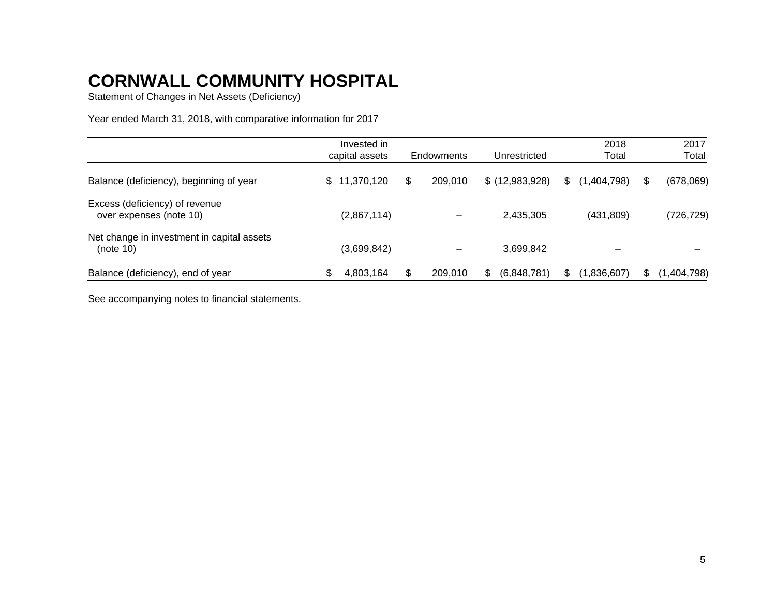Statement of Changes in Net Assets (Deficiency)

Year ended March 31, 2018, with comparative information for 2017

|                                                           | Invested in<br>capital assets | Endowments    |     | Unrestricted     | 2018<br>Total     |    | 2017<br>Total |
|-----------------------------------------------------------|-------------------------------|---------------|-----|------------------|-------------------|----|---------------|
| Balance (deficiency), beginning of year                   | \$11,370,120                  | \$<br>209.010 |     | $$$ (12,983,928) | \$<br>(1,404,798) | S. | (678,069)     |
| Excess (deficiency) of revenue<br>over expenses (note 10) | (2,867,114)                   |               |     | 2,435,305        | (431, 809)        |    | (726,729)     |
| Net change in investment in capital assets<br>(note 10)   | (3,699,842)                   |               |     | 3,699,842        |                   |    |               |
| Balance (deficiency), end of year                         | 4,803,164                     | 209.010       | \$. | (6,848,781)      | (1,836,607)       |    | (1,404,798)   |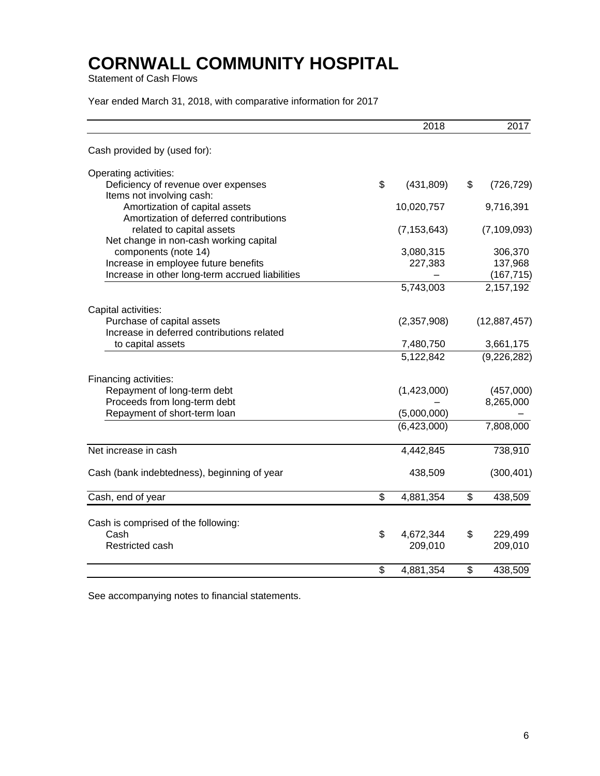Statement of Cash Flows

Year ended March 31, 2018, with comparative information for 2017

|                                                                          | 2018             | 2017             |
|--------------------------------------------------------------------------|------------------|------------------|
| Cash provided by (used for):                                             |                  |                  |
| Operating activities:                                                    |                  |                  |
| Deficiency of revenue over expenses                                      | \$<br>(431, 809) | \$<br>(726, 729) |
| Items not involving cash:                                                |                  |                  |
| Amortization of capital assets<br>Amortization of deferred contributions | 10,020,757       | 9,716,391        |
| related to capital assets                                                | (7, 153, 643)    | (7, 109, 093)    |
| Net change in non-cash working capital                                   |                  |                  |
| components (note 14)                                                     | 3,080,315        | 306,370          |
| Increase in employee future benefits                                     | 227,383          | 137,968          |
| Increase in other long-term accrued liabilities                          |                  | (167, 715)       |
|                                                                          | 5,743,003        | 2,157,192        |
| Capital activities:                                                      |                  |                  |
| Purchase of capital assets                                               | (2,357,908)      | (12,887,457)     |
| Increase in deferred contributions related                               |                  |                  |
| to capital assets                                                        | 7,480,750        | 3,661,175        |
|                                                                          | 5,122,842        | (9, 226, 282)    |
| Financing activities:                                                    |                  |                  |
| Repayment of long-term debt                                              | (1,423,000)      | (457,000)        |
| Proceeds from long-term debt                                             |                  | 8,265,000        |
| Repayment of short-term loan                                             | (5,000,000)      |                  |
|                                                                          | (6,423,000)      | 7,808,000        |
| Net increase in cash                                                     | 4,442,845        | 738,910          |
| Cash (bank indebtedness), beginning of year                              | 438,509          | (300, 401)       |
| Cash, end of year                                                        | \$<br>4,881,354  | \$<br>438,509    |
|                                                                          |                  |                  |
| Cash is comprised of the following:                                      |                  |                  |
| Cash                                                                     | \$<br>4,672,344  | \$<br>229,499    |
| Restricted cash                                                          | 209,010          | 209,010          |
|                                                                          | \$<br>4,881,354  | \$<br>438,509    |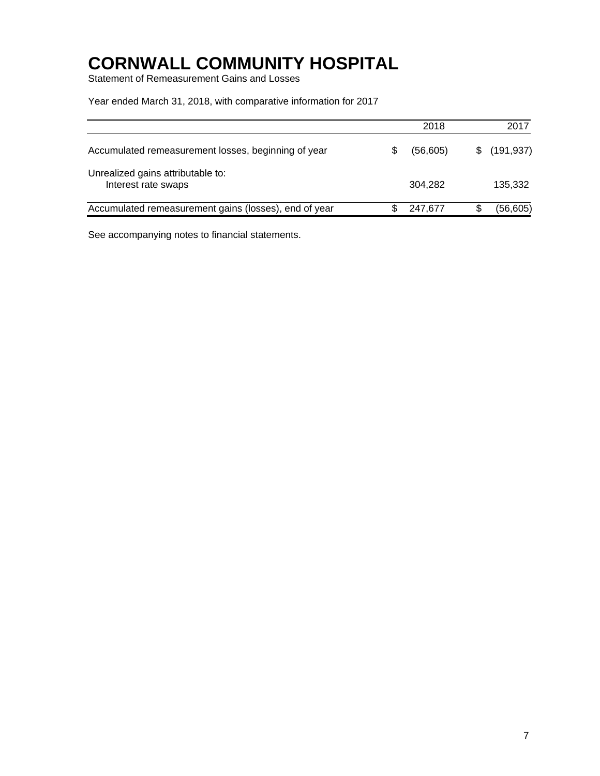Statement of Remeasurement Gains and Losses

Year ended March 31, 2018, with comparative information for 2017

|                                                          | 2018      | 2017         |
|----------------------------------------------------------|-----------|--------------|
| Accumulated remeasurement losses, beginning of year      | (56, 605) | \$(191, 937) |
| Unrealized gains attributable to:<br>Interest rate swaps | 304.282   | 135,332      |
| Accumulated remeasurement gains (losses), end of year    | 247.677   | (56, 605)    |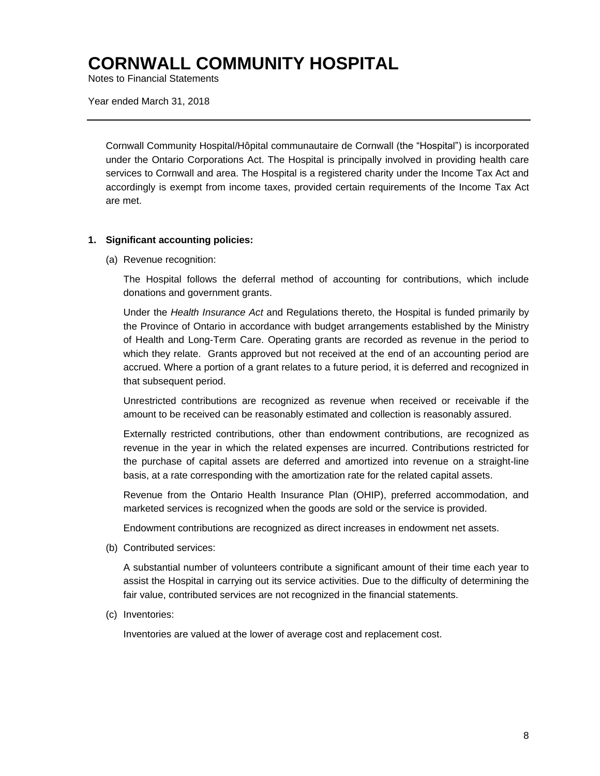Notes to Financial Statements

Year ended March 31, 2018

Cornwall Community Hospital/Hôpital communautaire de Cornwall (the "Hospital") is incorporated under the Ontario Corporations Act. The Hospital is principally involved in providing health care services to Cornwall and area. The Hospital is a registered charity under the Income Tax Act and accordingly is exempt from income taxes, provided certain requirements of the Income Tax Act are met.

#### **1. Significant accounting policies:**

(a) Revenue recognition:

The Hospital follows the deferral method of accounting for contributions, which include donations and government grants.

Under the *Health Insurance Act* and Regulations thereto, the Hospital is funded primarily by the Province of Ontario in accordance with budget arrangements established by the Ministry of Health and Long-Term Care. Operating grants are recorded as revenue in the period to which they relate. Grants approved but not received at the end of an accounting period are accrued. Where a portion of a grant relates to a future period, it is deferred and recognized in that subsequent period.

Unrestricted contributions are recognized as revenue when received or receivable if the amount to be received can be reasonably estimated and collection is reasonably assured.

Externally restricted contributions, other than endowment contributions, are recognized as revenue in the year in which the related expenses are incurred. Contributions restricted for the purchase of capital assets are deferred and amortized into revenue on a straight-line basis, at a rate corresponding with the amortization rate for the related capital assets.

Revenue from the Ontario Health Insurance Plan (OHIP), preferred accommodation, and marketed services is recognized when the goods are sold or the service is provided.

Endowment contributions are recognized as direct increases in endowment net assets.

(b) Contributed services:

A substantial number of volunteers contribute a significant amount of their time each year to assist the Hospital in carrying out its service activities. Due to the difficulty of determining the fair value, contributed services are not recognized in the financial statements.

(c) Inventories:

Inventories are valued at the lower of average cost and replacement cost.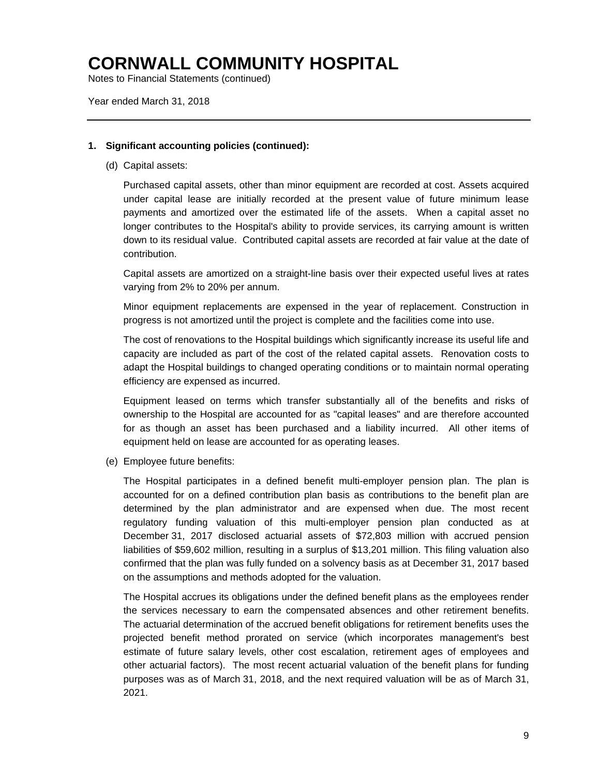Notes to Financial Statements (continued)

Year ended March 31, 2018

#### **1. Significant accounting policies (continued):**

(d) Capital assets:

Purchased capital assets, other than minor equipment are recorded at cost. Assets acquired under capital lease are initially recorded at the present value of future minimum lease payments and amortized over the estimated life of the assets. When a capital asset no longer contributes to the Hospital's ability to provide services, its carrying amount is written down to its residual value. Contributed capital assets are recorded at fair value at the date of contribution.

Capital assets are amortized on a straight-line basis over their expected useful lives at rates varying from 2% to 20% per annum.

Minor equipment replacements are expensed in the year of replacement. Construction in progress is not amortized until the project is complete and the facilities come into use.

The cost of renovations to the Hospital buildings which significantly increase its useful life and capacity are included as part of the cost of the related capital assets. Renovation costs to adapt the Hospital buildings to changed operating conditions or to maintain normal operating efficiency are expensed as incurred.

Equipment leased on terms which transfer substantially all of the benefits and risks of ownership to the Hospital are accounted for as "capital leases" and are therefore accounted for as though an asset has been purchased and a liability incurred. All other items of equipment held on lease are accounted for as operating leases.

(e) Employee future benefits:

The Hospital participates in a defined benefit multi-employer pension plan. The plan is accounted for on a defined contribution plan basis as contributions to the benefit plan are determined by the plan administrator and are expensed when due. The most recent regulatory funding valuation of this multi-employer pension plan conducted as at December 31, 2017 disclosed actuarial assets of \$72,803 million with accrued pension liabilities of \$59,602 million, resulting in a surplus of \$13,201 million. This filing valuation also confirmed that the plan was fully funded on a solvency basis as at December 31, 2017 based on the assumptions and methods adopted for the valuation.

The Hospital accrues its obligations under the defined benefit plans as the employees render the services necessary to earn the compensated absences and other retirement benefits. The actuarial determination of the accrued benefit obligations for retirement benefits uses the projected benefit method prorated on service (which incorporates management's best estimate of future salary levels, other cost escalation, retirement ages of employees and other actuarial factors). The most recent actuarial valuation of the benefit plans for funding purposes was as of March 31, 2018, and the next required valuation will be as of March 31, 2021.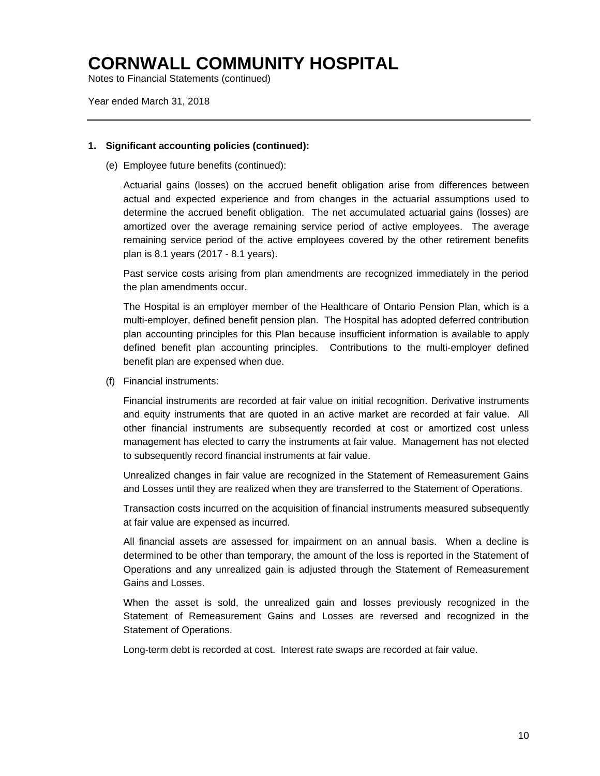Notes to Financial Statements (continued)

Year ended March 31, 2018

#### **1. Significant accounting policies (continued):**

(e) Employee future benefits (continued):

Actuarial gains (losses) on the accrued benefit obligation arise from differences between actual and expected experience and from changes in the actuarial assumptions used to determine the accrued benefit obligation. The net accumulated actuarial gains (losses) are amortized over the average remaining service period of active employees. The average remaining service period of the active employees covered by the other retirement benefits plan is 8.1 years (2017 - 8.1 years).

Past service costs arising from plan amendments are recognized immediately in the period the plan amendments occur.

The Hospital is an employer member of the Healthcare of Ontario Pension Plan, which is a multi-employer, defined benefit pension plan. The Hospital has adopted deferred contribution plan accounting principles for this Plan because insufficient information is available to apply defined benefit plan accounting principles. Contributions to the multi-employer defined benefit plan are expensed when due.

(f) Financial instruments:

Financial instruments are recorded at fair value on initial recognition. Derivative instruments and equity instruments that are quoted in an active market are recorded at fair value. All other financial instruments are subsequently recorded at cost or amortized cost unless management has elected to carry the instruments at fair value. Management has not elected to subsequently record financial instruments at fair value.

Unrealized changes in fair value are recognized in the Statement of Remeasurement Gains and Losses until they are realized when they are transferred to the Statement of Operations.

Transaction costs incurred on the acquisition of financial instruments measured subsequently at fair value are expensed as incurred.

All financial assets are assessed for impairment on an annual basis. When a decline is determined to be other than temporary, the amount of the loss is reported in the Statement of Operations and any unrealized gain is adjusted through the Statement of Remeasurement Gains and Losses.

When the asset is sold, the unrealized gain and losses previously recognized in the Statement of Remeasurement Gains and Losses are reversed and recognized in the Statement of Operations.

Long-term debt is recorded at cost. Interest rate swaps are recorded at fair value.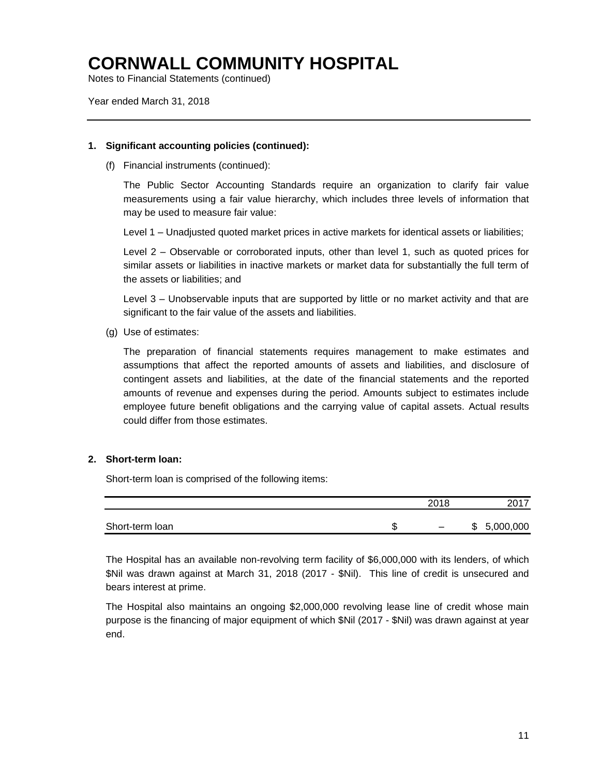Notes to Financial Statements (continued)

Year ended March 31, 2018

#### **1. Significant accounting policies (continued):**

(f) Financial instruments (continued):

The Public Sector Accounting Standards require an organization to clarify fair value measurements using a fair value hierarchy, which includes three levels of information that may be used to measure fair value:

Level 1 – Unadjusted quoted market prices in active markets for identical assets or liabilities;

Level 2 – Observable or corroborated inputs, other than level 1, such as quoted prices for similar assets or liabilities in inactive markets or market data for substantially the full term of the assets or liabilities; and

Level 3 – Unobservable inputs that are supported by little or no market activity and that are significant to the fair value of the assets and liabilities.

(g) Use of estimates:

The preparation of financial statements requires management to make estimates and assumptions that affect the reported amounts of assets and liabilities, and disclosure of contingent assets and liabilities, at the date of the financial statements and the reported amounts of revenue and expenses during the period. Amounts subject to estimates include employee future benefit obligations and the carrying value of capital assets. Actual results could differ from those estimates.

### **2. Short-term loan:**

Short-term loan is comprised of the following items:

|                 |        | 2018                     | 2017           |
|-----------------|--------|--------------------------|----------------|
| Short-term loan | œ<br>ง | $\overline{\phantom{0}}$ | 5,000,000<br>S |

The Hospital has an available non-revolving term facility of \$6,000,000 with its lenders, of which \$Nil was drawn against at March 31, 2018 (2017 - \$Nil). This line of credit is unsecured and bears interest at prime.

The Hospital also maintains an ongoing \$2,000,000 revolving lease line of credit whose main purpose is the financing of major equipment of which \$Nil (2017 - \$Nil) was drawn against at year end.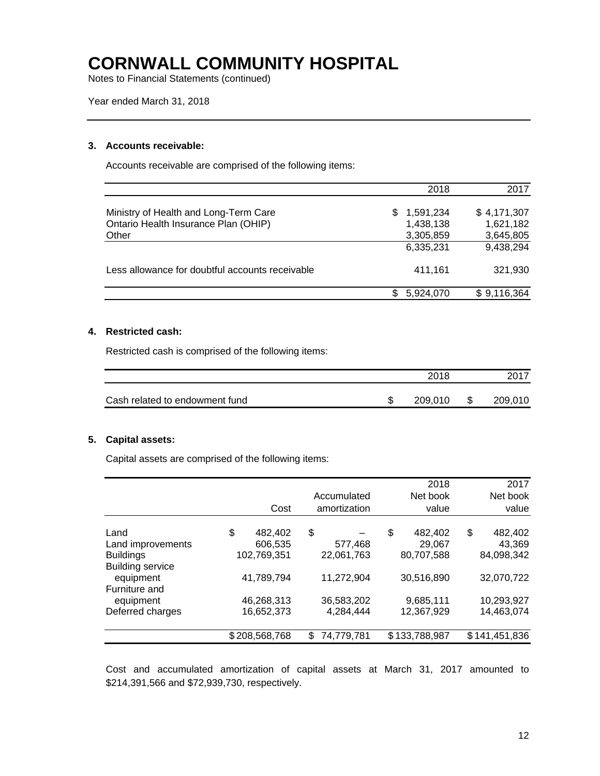Notes to Financial Statements (continued)

Year ended March 31, 2018

#### **3. Accounts receivable:**

Accounts receivable are comprised of the following items:

|                                                 | 2018             | 2017        |
|-------------------------------------------------|------------------|-------------|
|                                                 |                  |             |
| Ministry of Health and Long-Term Care           | 1,591,234<br>SS. | \$4,171,307 |
| Ontario Health Insurance Plan (OHIP)            | 1,438,138        | 1,621,182   |
| Other                                           | 3,305,859        | 3,645,805   |
|                                                 | 6,335,231        | 9,438,294   |
| Less allowance for doubtful accounts receivable | 411.161          | 321,930     |
|                                                 | 5,924,070        | \$9,116,364 |

#### **4. Restricted cash:**

Restricted cash is comprised of the following items:

|                                | 2018    | 2017    |
|--------------------------------|---------|---------|
| Cash related to endowment fund | 209,010 | 209,010 |

#### **5. Capital assets:**

Capital assets are comprised of the following items:

|                         |               |                  | 2018          | 2017          |
|-------------------------|---------------|------------------|---------------|---------------|
|                         |               | Accumulated      | Net book      | Net book      |
|                         | Cost          | amortization     | value         | value         |
| Land                    | \$<br>482.402 | \$               | \$<br>482,402 | \$<br>482,402 |
| Land improvements       | 606,535       | 577,468          | 29,067        | 43,369        |
| <b>Buildings</b>        | 102,769,351   | 22,061,763       | 80,707,588    | 84,098,342    |
| <b>Building service</b> |               |                  |               |               |
| equipment               | 41,789,794    | 11,272,904       | 30,516,890    | 32,070,722    |
| Furniture and           |               |                  |               |               |
| equipment               | 46,268,313    | 36,583,202       | 9,685,111     | 10,293,927    |
| Deferred charges        | 16,652,373    | 4,284,444        | 12,367,929    | 14,463,074    |
|                         | \$208,568,768 | \$<br>74,779,781 | \$133,788,987 | \$141,451,836 |

Cost and accumulated amortization of capital assets at March 31, 2017 amounted to \$214,391,566 and \$72,939,730, respectively.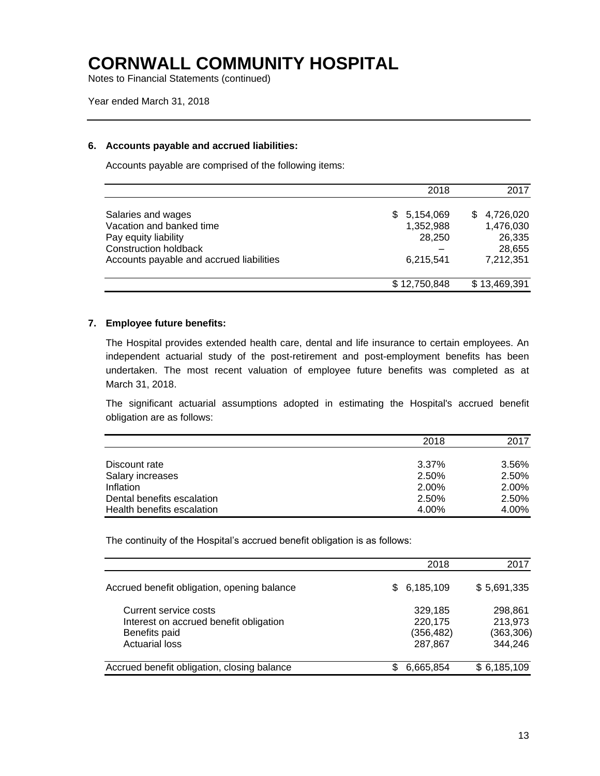Notes to Financial Statements (continued)

Year ended March 31, 2018

#### **6. Accounts payable and accrued liabilities:**

Accounts payable are comprised of the following items:

|                                                                                                                                                    | 2018                                                 | 2017                                                         |
|----------------------------------------------------------------------------------------------------------------------------------------------------|------------------------------------------------------|--------------------------------------------------------------|
| Salaries and wages<br>Vacation and banked time<br>Pay equity liability<br><b>Construction holdback</b><br>Accounts payable and accrued liabilities | 5,154,069<br>SS.<br>1,352,988<br>28,250<br>6,215,541 | 4,726,020<br>S<br>1,476,030<br>26,335<br>28,655<br>7,212,351 |
|                                                                                                                                                    | \$12,750,848                                         | \$13,469,391                                                 |

#### **7. Employee future benefits:**

The Hospital provides extended health care, dental and life insurance to certain employees. An independent actuarial study of the post-retirement and post-employment benefits has been undertaken. The most recent valuation of employee future benefits was completed as at March 31, 2018.

The significant actuarial assumptions adopted in estimating the Hospital's accrued benefit obligation are as follows:

|                            | 2018  | 2017  |
|----------------------------|-------|-------|
|                            |       |       |
| Discount rate              | 3.37% | 3.56% |
| Salary increases           | 2.50% | 2.50% |
| Inflation                  | 2.00% | 2.00% |
| Dental benefits escalation | 2.50% | 2.50% |
| Health benefits escalation | 4.00% | 4.00% |

The continuity of the Hospital's accrued benefit obligation is as follows:

|                                                                                                           | 2018                                        | 2017                                        |
|-----------------------------------------------------------------------------------------------------------|---------------------------------------------|---------------------------------------------|
| Accrued benefit obligation, opening balance                                                               | 6,185,109<br>S.                             | \$5,691,335                                 |
| Current service costs<br>Interest on accrued benefit obligation<br>Benefits paid<br><b>Actuarial loss</b> | 329,185<br>220,175<br>(356, 482)<br>287,867 | 298.861<br>213,973<br>(363, 306)<br>344,246 |
| Accrued benefit obligation, closing balance                                                               | 6,665,854                                   | \$6,185,109                                 |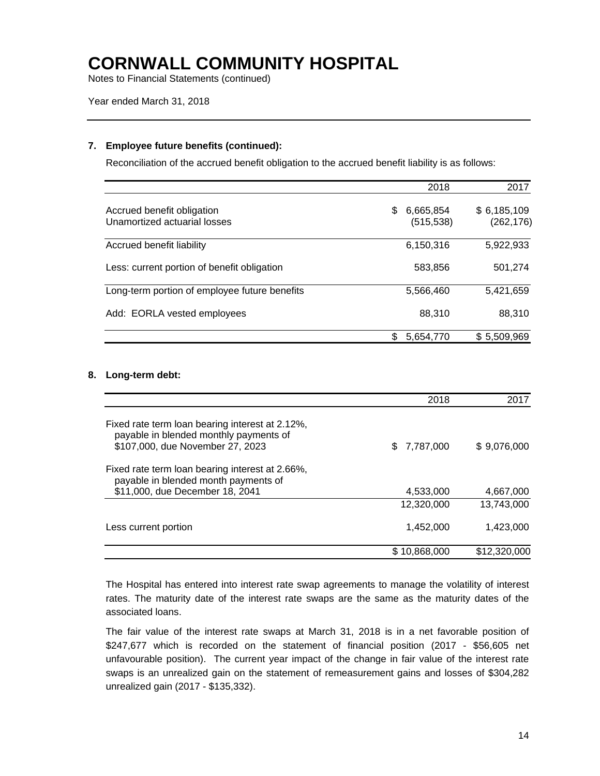Notes to Financial Statements (continued)

Year ended March 31, 2018

#### **7. Employee future benefits (continued):**

Reconciliation of the accrued benefit obligation to the accrued benefit liability is as follows:

|                                                            | 2018                         | 2017                     |
|------------------------------------------------------------|------------------------------|--------------------------|
| Accrued benefit obligation<br>Unamortized actuarial losses | 6,665,854<br>S<br>(515, 538) | \$6,185,109<br>(262,176) |
| Accrued benefit liability                                  | 6,150,316                    | 5,922,933                |
| Less: current portion of benefit obligation                | 583,856                      | 501,274                  |
| Long-term portion of employee future benefits              | 5.566.460                    | 5,421,659                |
| Add: EORLA vested employees                                | 88.310                       | 88.310                   |
|                                                            | 5,654,770                    | \$5,509,969              |

#### **8. Long-term debt:**

|                                                                                                                               | 2018         | 2017         |
|-------------------------------------------------------------------------------------------------------------------------------|--------------|--------------|
| Fixed rate term loan bearing interest at 2.12%,<br>payable in blended monthly payments of<br>\$107,000, due November 27, 2023 | \$7,787,000  | \$9,076,000  |
| Fixed rate term loan bearing interest at 2.66%,<br>payable in blended month payments of<br>\$11,000, due December 18, 2041    | 4,533,000    | 4,667,000    |
|                                                                                                                               | 12,320,000   | 13.743.000   |
| Less current portion                                                                                                          | 1,452,000    | 1,423,000    |
|                                                                                                                               | \$10,868,000 | \$12,320,000 |

The Hospital has entered into interest rate swap agreements to manage the volatility of interest rates. The maturity date of the interest rate swaps are the same as the maturity dates of the associated loans.

The fair value of the interest rate swaps at March 31, 2018 is in a net favorable position of \$247,677 which is recorded on the statement of financial position (2017 - \$56,605 net unfavourable position). The current year impact of the change in fair value of the interest rate swaps is an unrealized gain on the statement of remeasurement gains and losses of \$304,282 unrealized gain (2017 - \$135,332).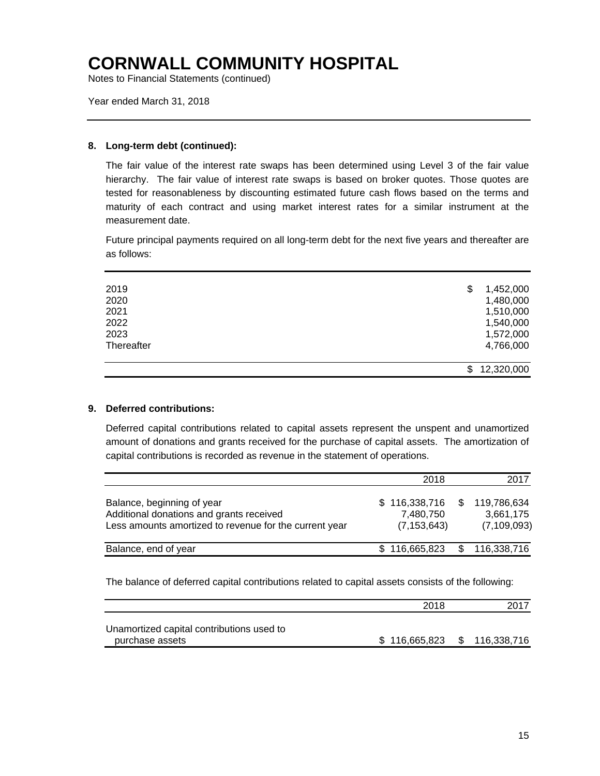Notes to Financial Statements (continued)

Year ended March 31, 2018

#### **8. Long-term debt (continued):**

The fair value of the interest rate swaps has been determined using Level 3 of the fair value hierarchy. The fair value of interest rate swaps is based on broker quotes. Those quotes are tested for reasonableness by discounting estimated future cash flows based on the terms and maturity of each contract and using market interest rates for a similar instrument at the measurement date.

Future principal payments required on all long-term debt for the next five years and thereafter are as follows:

| 2019       | 1,452,000<br>\$  |
|------------|------------------|
| 2020       | 1,480,000        |
| 2021       | 1,510,000        |
| 2022       | 1,540,000        |
| 2023       | 1,572,000        |
| Thereafter | 4,766,000        |
|            | 12,320,000<br>\$ |
|            |                  |

#### **9. Deferred contributions:**

Deferred capital contributions related to capital assets represent the unspent and unamortized amount of donations and grants received for the purchase of capital assets. The amortization of capital contributions is recorded as revenue in the statement of operations.

|                                                                                                                                  | 2018                                        | 2017                                      |
|----------------------------------------------------------------------------------------------------------------------------------|---------------------------------------------|-------------------------------------------|
| Balance, beginning of year<br>Additional donations and grants received<br>Less amounts amortized to revenue for the current year | \$116,338,716<br>7,480,750<br>(7, 153, 643) | 119,786,634<br>3,661,175<br>(7, 109, 093) |
| Balance, end of year                                                                                                             | \$116,665,823                               | 116,338,716                               |

The balance of deferred capital contributions related to capital assets consists of the following:

|                                                              | 2018          | 2017          |
|--------------------------------------------------------------|---------------|---------------|
| Unamortized capital contributions used to<br>purchase assets | \$116,665,823 | \$116,338,716 |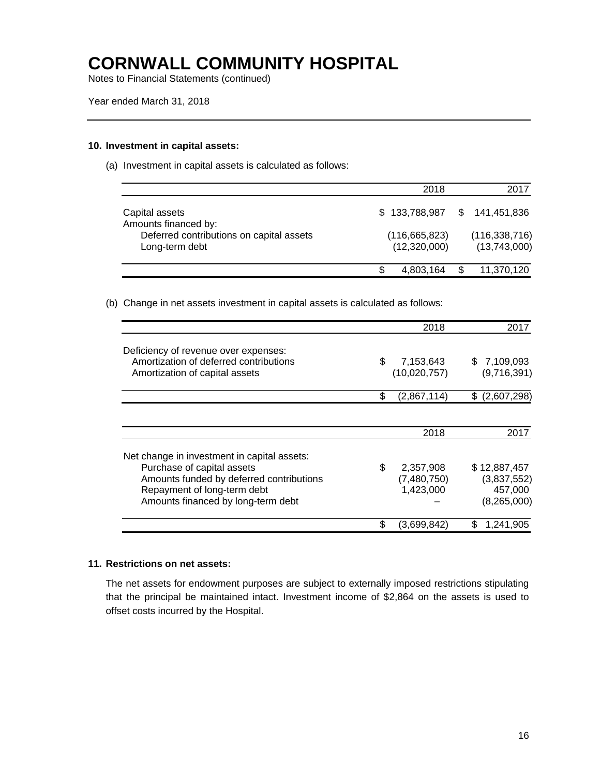Notes to Financial Statements (continued)

#### **10. Investment in capital assets:**

(a) Investment in capital assets is calculated as follows:

|                                                            | 2018                            |   | 2017                            |
|------------------------------------------------------------|---------------------------------|---|---------------------------------|
| Capital assets<br>Amounts financed by:                     |                                 |   | \$133,788,987 \$141,451,836     |
| Deferred contributions on capital assets<br>Long-term debt | (116, 665, 823)<br>(12,320,000) |   | (116, 338, 716)<br>(13,743,000) |
|                                                            | 4,803,164                       | S | 11,370,120                      |

(b) Change in net assets investment in capital assets is calculated as follows:

|                                                                                                                                                                                            | 2018                                        | 2017                                                  |
|--------------------------------------------------------------------------------------------------------------------------------------------------------------------------------------------|---------------------------------------------|-------------------------------------------------------|
| Deficiency of revenue over expenses:<br>Amortization of deferred contributions<br>Amortization of capital assets                                                                           | \$<br>7,153,643<br>(10,020,757)             | \$7,109,093<br>(9,716,391)                            |
|                                                                                                                                                                                            | \$<br>(2,867,114)                           | (2,607,298)<br>\$                                     |
|                                                                                                                                                                                            | 2018                                        | 2017                                                  |
| Net change in investment in capital assets:<br>Purchase of capital assets<br>Amounts funded by deferred contributions<br>Repayment of long-term debt<br>Amounts financed by long-term debt | \$<br>2,357,908<br>(7,480,750)<br>1,423,000 | \$12,887,457<br>(3,837,552)<br>457,000<br>(8,265,000) |
|                                                                                                                                                                                            | (3,699,842)                                 | 1,241,905                                             |

#### **11. Restrictions on net assets:**

The net assets for endowment purposes are subject to externally imposed restrictions stipulating that the principal be maintained intact. Investment income of \$2,864 on the assets is used to offset costs incurred by the Hospital.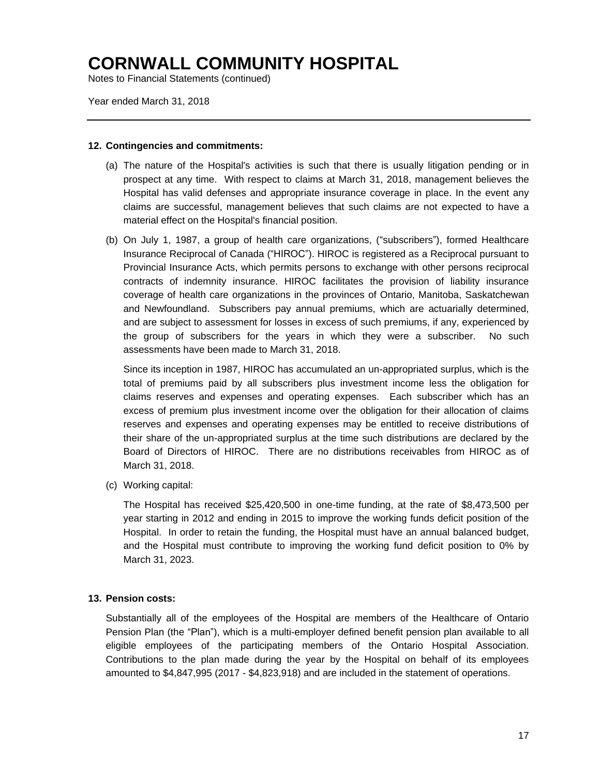Notes to Financial Statements (continued)

Year ended March 31, 2018

#### **12. Contingencies and commitments:**

- (a) The nature of the Hospital's activities is such that there is usually litigation pending or in prospect at any time. With respect to claims at March 31, 2018, management believes the Hospital has valid defenses and appropriate insurance coverage in place. In the event any claims are successful, management believes that such claims are not expected to have a material effect on the Hospital's financial position.
- (b) On July 1, 1987, a group of health care organizations, ("subscribers"), formed Healthcare Insurance Reciprocal of Canada ("HIROC"). HIROC is registered as a Reciprocal pursuant to Provincial Insurance Acts, which permits persons to exchange with other persons reciprocal contracts of indemnity insurance. HIROC facilitates the provision of liability insurance coverage of health care organizations in the provinces of Ontario, Manitoba, Saskatchewan and Newfoundland. Subscribers pay annual premiums, which are actuarially determined, and are subject to assessment for losses in excess of such premiums, if any, experienced by the group of subscribers for the years in which they were a subscriber. No such assessments have been made to March 31, 2018.

Since its inception in 1987, HIROC has accumulated an un-appropriated surplus, which is the total of premiums paid by all subscribers plus investment income less the obligation for claims reserves and expenses and operating expenses. Each subscriber which has an excess of premium plus investment income over the obligation for their allocation of claims reserves and expenses and operating expenses may be entitled to receive distributions of their share of the un-appropriated surplus at the time such distributions are declared by the Board of Directors of HIROC. There are no distributions receivables from HIROC as of March 31, 2018.

(c) Working capital:

The Hospital has received \$25,420,500 in one-time funding, at the rate of \$8,473,500 per year starting in 2012 and ending in 2015 to improve the working funds deficit position of the Hospital. In order to retain the funding, the Hospital must have an annual balanced budget, and the Hospital must contribute to improving the working fund deficit position to 0% by March 31, 2023.

#### **13. Pension costs:**

Substantially all of the employees of the Hospital are members of the Healthcare of Ontario Pension Plan (the "Plan"), which is a multi-employer defined benefit pension plan available to all eligible employees of the participating members of the Ontario Hospital Association. Contributions to the plan made during the year by the Hospital on behalf of its employees amounted to \$4,847,995 (2017 - \$4,823,918) and are included in the statement of operations.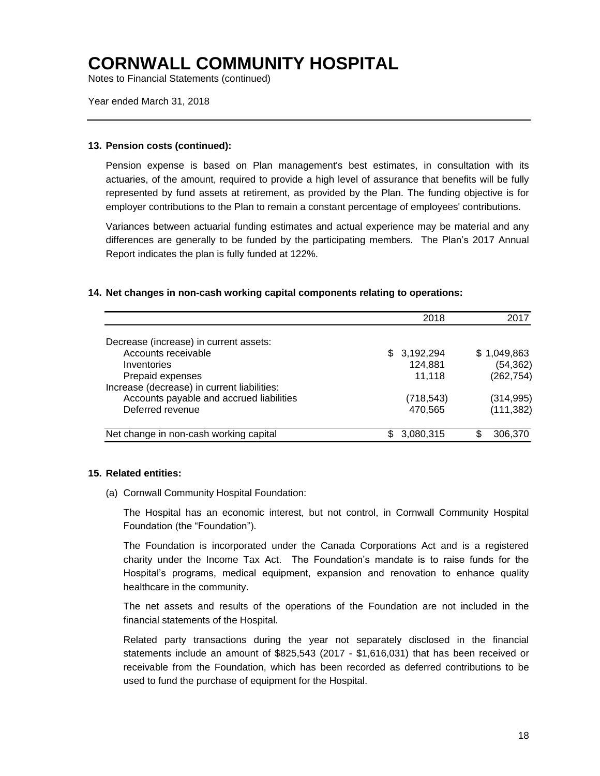Notes to Financial Statements (continued)

Year ended March 31, 2018

#### **13. Pension costs (continued):**

Pension expense is based on Plan management's best estimates, in consultation with its actuaries, of the amount, required to provide a high level of assurance that benefits will be fully represented by fund assets at retirement, as provided by the Plan. The funding objective is for employer contributions to the Plan to remain a constant percentage of employees' contributions.

Variances between actuarial funding estimates and actual experience may be material and any differences are generally to be funded by the participating members. The Plan's 2017 Annual Report indicates the plan is fully funded at 122%.

#### **14. Net changes in non-cash working capital components relating to operations:**

|                                             | 2018        | 2017        |
|---------------------------------------------|-------------|-------------|
|                                             |             |             |
| Decrease (increase) in current assets:      |             |             |
| Accounts receivable                         | \$3,192,294 | \$1,049,863 |
| Inventories                                 | 124,881     | (54, 362)   |
| Prepaid expenses                            | 11,118      | (262, 754)  |
| Increase (decrease) in current liabilities: |             |             |
| Accounts payable and accrued liabilities    | (718, 543)  | (314, 995)  |
| Deferred revenue                            | 470,565     | (111, 382)  |
| Net change in non-cash working capital      | 3,080,315   | 306,370     |

#### **15. Related entities:**

(a) Cornwall Community Hospital Foundation:

The Hospital has an economic interest, but not control, in Cornwall Community Hospital Foundation (the "Foundation").

The Foundation is incorporated under the Canada Corporations Act and is a registered charity under the Income Tax Act. The Foundation's mandate is to raise funds for the Hospital's programs, medical equipment, expansion and renovation to enhance quality healthcare in the community.

The net assets and results of the operations of the Foundation are not included in the financial statements of the Hospital.

Related party transactions during the year not separately disclosed in the financial statements include an amount of \$825,543 (2017 - \$1,616,031) that has been received or receivable from the Foundation, which has been recorded as deferred contributions to be used to fund the purchase of equipment for the Hospital.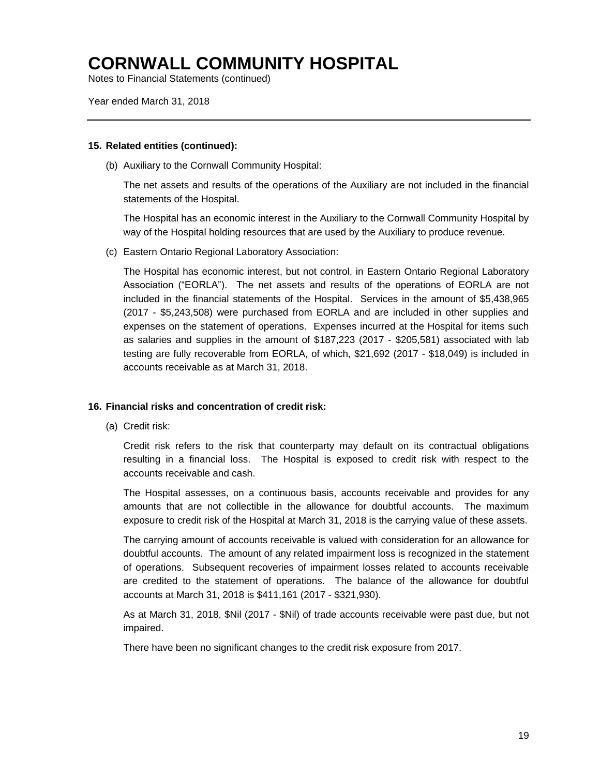Notes to Financial Statements (continued)

Year ended March 31, 2018

#### **15. Related entities (continued):**

(b) Auxiliary to the Cornwall Community Hospital:

The net assets and results of the operations of the Auxiliary are not included in the financial statements of the Hospital.

The Hospital has an economic interest in the Auxiliary to the Cornwall Community Hospital by way of the Hospital holding resources that are used by the Auxiliary to produce revenue.

(c) Eastern Ontario Regional Laboratory Association:

The Hospital has economic interest, but not control, in Eastern Ontario Regional Laboratory Association ("EORLA"). The net assets and results of the operations of EORLA are not included in the financial statements of the Hospital. Services in the amount of \$5,438,965 (2017 - \$5,243,508) were purchased from EORLA and are included in other supplies and expenses on the statement of operations. Expenses incurred at the Hospital for items such as salaries and supplies in the amount of \$187,223 (2017 - \$205,581) associated with lab testing are fully recoverable from EORLA, of which, \$21,692 (2017 - \$18,049) is included in accounts receivable as at March 31, 2018.

#### **16. Financial risks and concentration of credit risk:**

(a) Credit risk:

Credit risk refers to the risk that counterparty may default on its contractual obligations resulting in a financial loss. The Hospital is exposed to credit risk with respect to the accounts receivable and cash.

The Hospital assesses, on a continuous basis, accounts receivable and provides for any amounts that are not collectible in the allowance for doubtful accounts. The maximum exposure to credit risk of the Hospital at March 31, 2018 is the carrying value of these assets.

The carrying amount of accounts receivable is valued with consideration for an allowance for doubtful accounts. The amount of any related impairment loss is recognized in the statement of operations. Subsequent recoveries of impairment losses related to accounts receivable are credited to the statement of operations. The balance of the allowance for doubtful accounts at March 31, 2018 is \$411,161 (2017 - \$321,930).

As at March 31, 2018, \$Nil (2017 - \$Nil) of trade accounts receivable were past due, but not impaired.

There have been no significant changes to the credit risk exposure from 2017.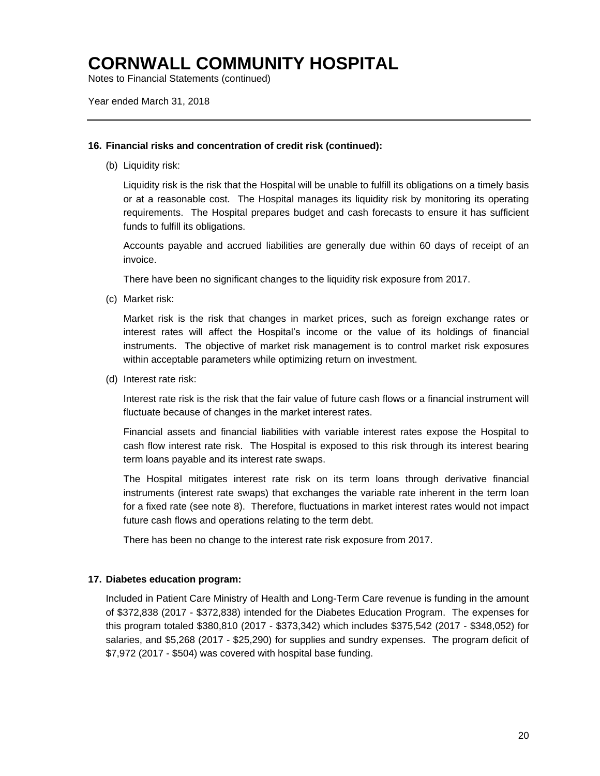Notes to Financial Statements (continued)

Year ended March 31, 2018

#### **16. Financial risks and concentration of credit risk (continued):**

(b) Liquidity risk:

Liquidity risk is the risk that the Hospital will be unable to fulfill its obligations on a timely basis or at a reasonable cost. The Hospital manages its liquidity risk by monitoring its operating requirements. The Hospital prepares budget and cash forecasts to ensure it has sufficient funds to fulfill its obligations.

Accounts payable and accrued liabilities are generally due within 60 days of receipt of an invoice.

There have been no significant changes to the liquidity risk exposure from 2017.

(c) Market risk:

Market risk is the risk that changes in market prices, such as foreign exchange rates or interest rates will affect the Hospital's income or the value of its holdings of financial instruments. The objective of market risk management is to control market risk exposures within acceptable parameters while optimizing return on investment.

(d) Interest rate risk:

Interest rate risk is the risk that the fair value of future cash flows or a financial instrument will fluctuate because of changes in the market interest rates.

Financial assets and financial liabilities with variable interest rates expose the Hospital to cash flow interest rate risk. The Hospital is exposed to this risk through its interest bearing term loans payable and its interest rate swaps.

The Hospital mitigates interest rate risk on its term loans through derivative financial instruments (interest rate swaps) that exchanges the variable rate inherent in the term loan for a fixed rate (see note 8). Therefore, fluctuations in market interest rates would not impact future cash flows and operations relating to the term debt.

There has been no change to the interest rate risk exposure from 2017.

#### **17. Diabetes education program:**

Included in Patient Care Ministry of Health and Long-Term Care revenue is funding in the amount of \$372,838 (2017 - \$372,838) intended for the Diabetes Education Program. The expenses for this program totaled \$380,810 (2017 - \$373,342) which includes \$375,542 (2017 - \$348,052) for salaries, and \$5,268 (2017 - \$25,290) for supplies and sundry expenses. The program deficit of \$7,972 (2017 - \$504) was covered with hospital base funding.